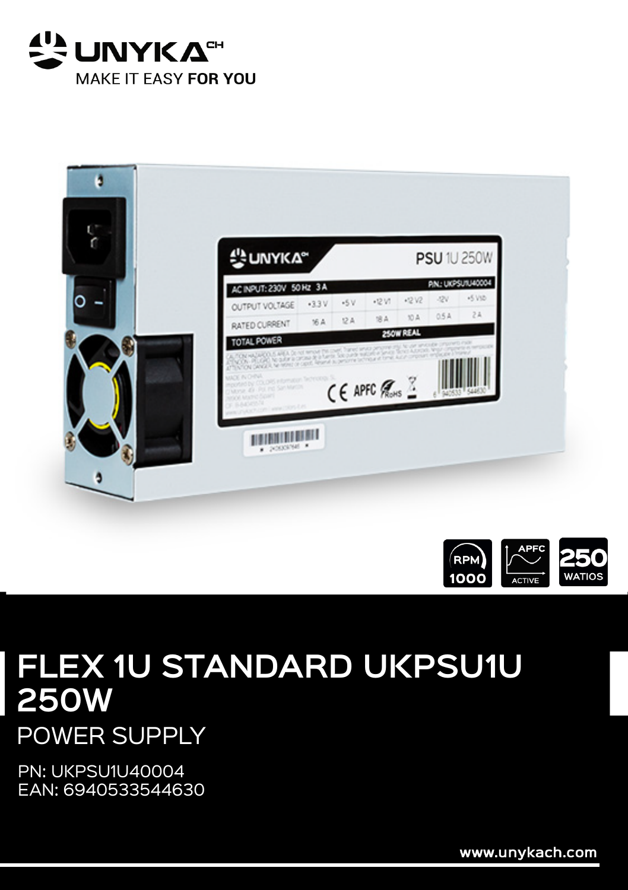





## **FLEX 1U STANDARD UKPSU1U 250W**

POWER SUPPLY

PN: UKPSU1U40004 EAN: 6940533544630